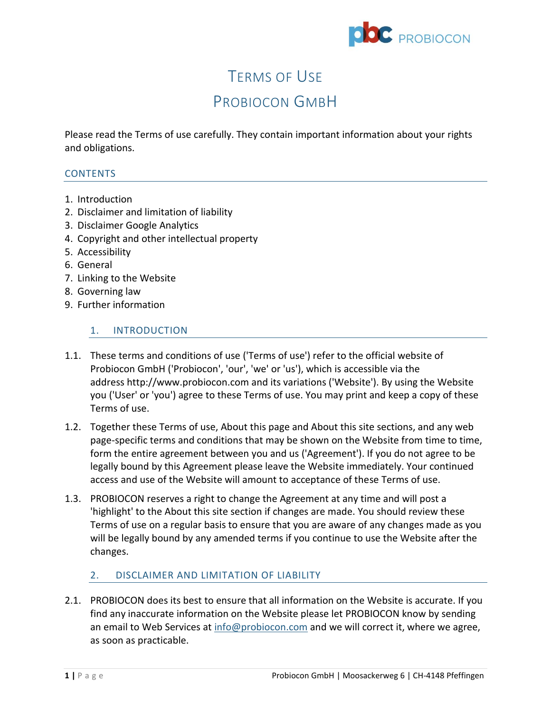

# TERMS OF USE PROBIOCON GMBH

Please read the Terms of use carefully. They contain important information about your rights and obligations.

# **CONTENTS**

- 1. [Introduction](#page-0-0)
- 2. [Disclaimer and limitation of liability](#page-0-1)
- 3. [Disclaimer Google Analytics](#page-2-0)
- 4. [Copyright and other intellectual property](#page-2-1)
- 5. [Accessibility](#page-3-0)
- 6. [General](#page-3-1)
- 7. [Linking to the Website](#page-4-0)
- 8. [Governing law](#page-4-1)
- <span id="page-0-0"></span>9. [Further information](#page-4-2)

# 1. INTRODUCTION

- 1.1. These terms and conditions of use ('Terms of use') refer to the official website of Probiocon GmbH ('Probiocon', 'our', 'we' or 'us'), which is accessible via the address http://www.probiocon.com and its variations ('Website'). By using the Website you ('User' or 'you') agree to these Terms of use. You may print and keep a copy of these Terms of use.
- 1.2. Together these Terms of use, About this page and About this site sections, and any web page-specific terms and conditions that may be shown on the Website from time to time, form the entire agreement between you and us ('Agreement'). If you do not agree to be legally bound by this Agreement please leave the Website immediately. Your continued access and use of the Website will amount to acceptance of these Terms of use.
- 1.3. PROBIOCON reserves a right to change the Agreement at any time and will post a 'highlight' to the About this site section if changes are made. You should review these Terms of use on a regular basis to ensure that you are aware of any changes made as you will be legally bound by any amended terms if you continue to use the Website after the changes.

# <span id="page-0-1"></span>2. DISCLAIMER AND LIMITATION OF LIABILITY

2.1. PROBIOCON does its best to ensure that all information on the Website is accurate. If you find any inaccurate information on the Website please let PROBIOCON know by sending an email to Web Services at [info@probiocon.com](mailto:info@probiocon.com) and we will correct it, where we agree, as soon as practicable.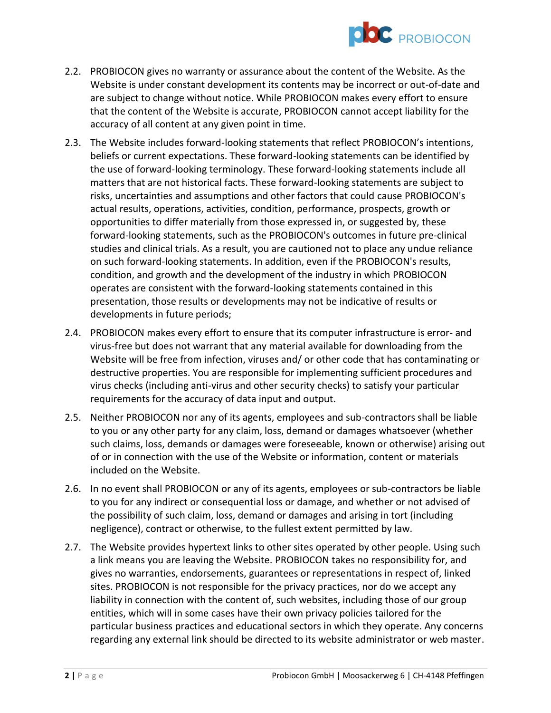

- 2.2. PROBIOCON gives no warranty or assurance about the content of the Website. As the Website is under constant development its contents may be incorrect or out-of-date and are subject to change without notice. While PROBIOCON makes every effort to ensure that the content of the Website is accurate, PROBIOCON cannot accept liability for the accuracy of all content at any given point in time.
- 2.3. The Website includes forward-looking statements that reflect PROBIOCON's intentions, beliefs or current expectations. These forward-looking statements can be identified by the use of forward-looking terminology. These forward-looking statements include all matters that are not historical facts. These forward-looking statements are subject to risks, uncertainties and assumptions and other factors that could cause PROBIOCON's actual results, operations, activities, condition, performance, prospects, growth or opportunities to differ materially from those expressed in, or suggested by, these forward-looking statements, such as the PROBIOCON's outcomes in future pre-clinical studies and clinical trials. As a result, you are cautioned not to place any undue reliance on such forward-looking statements. In addition, even if the PROBIOCON's results, condition, and growth and the development of the industry in which PROBIOCON operates are consistent with the forward-looking statements contained in this presentation, those results or developments may not be indicative of results or developments in future periods;
- 2.4. PROBIOCON makes every effort to ensure that its computer infrastructure is error- and virus-free but does not warrant that any material available for downloading from the Website will be free from infection, viruses and/ or other code that has contaminating or destructive properties. You are responsible for implementing sufficient procedures and virus checks (including anti-virus and other security checks) to satisfy your particular requirements for the accuracy of data input and output.
- 2.5. Neither PROBIOCON nor any of its agents, employees and sub-contractors shall be liable to you or any other party for any claim, loss, demand or damages whatsoever (whether such claims, loss, demands or damages were foreseeable, known or otherwise) arising out of or in connection with the use of the Website or information, content or materials included on the Website.
- 2.6. In no event shall PROBIOCON or any of its agents, employees or sub-contractors be liable to you for any indirect or consequential loss or damage, and whether or not advised of the possibility of such claim, loss, demand or damages and arising in tort (including negligence), contract or otherwise, to the fullest extent permitted by law.
- 2.7. The Website provides hypertext links to other sites operated by other people. Using such a link means you are leaving the Website. PROBIOCON takes no responsibility for, and gives no warranties, endorsements, guarantees or representations in respect of, linked sites. PROBIOCON is not responsible for the privacy practices, nor do we accept any liability in connection with the content of, such websites, including those of our group entities, which will in some cases have their own privacy policies tailored for the particular business practices and educational sectors in which they operate. Any concerns regarding any external link should be directed to its website administrator or web master.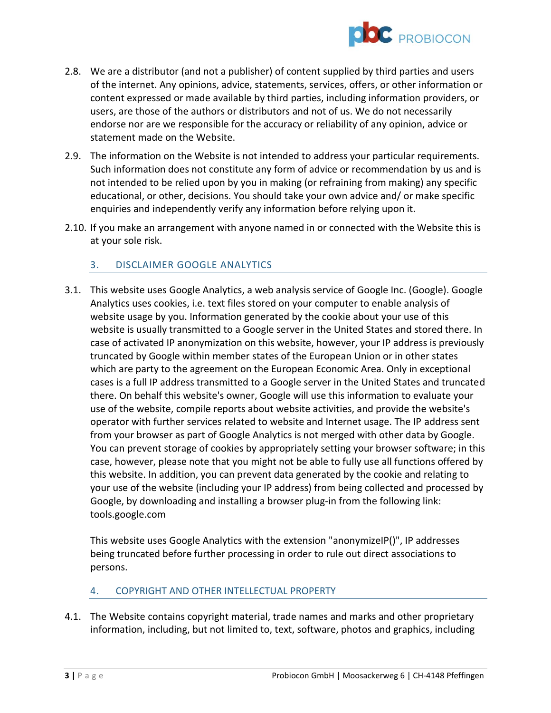

- 2.8. We are a distributor (and not a publisher) of content supplied by third parties and users of the internet. Any opinions, advice, statements, services, offers, or other information or content expressed or made available by third parties, including information providers, or users, are those of the authors or distributors and not of us. We do not necessarily endorse nor are we responsible for the accuracy or reliability of any opinion, advice or statement made on the Website.
- 2.9. The information on the Website is not intended to address your particular requirements. Such information does not constitute any form of advice or recommendation by us and is not intended to be relied upon by you in making (or refraining from making) any specific educational, or other, decisions. You should take your own advice and/ or make specific enquiries and independently verify any information before relying upon it.
- <span id="page-2-0"></span>2.10. If you make an arrangement with anyone named in or connected with the Website this is at your sole risk.

# 3. DISCLAIMER GOOGLE ANALYTICS

3.1. This website uses Google Analytics, a web analysis service of Google Inc. (Google). Google Analytics uses cookies, i.e. text files stored on your computer to enable analysis of website usage by you. Information generated by the cookie about your use of this website is usually transmitted to a Google server in the United States and stored there. In case of activated IP anonymization on this website, however, your IP address is previously truncated by Google within member states of the European Union or in other states which are party to the agreement on the European Economic Area. Only in exceptional cases is a full IP address transmitted to a Google server in the United States and truncated there. On behalf this website's owner, Google will use this information to evaluate your use of the website, compile reports about website activities, and provide the website's operator with further services related to website and Internet usage. The IP address sent from your browser as part of Google Analytics is not merged with other data by Google. You can prevent storage of cookies by appropriately setting your browser software; in this case, however, please note that you might not be able to fully use all functions offered by this website. In addition, you can prevent data generated by the cookie and relating to your use of the website (including your IP address) from being collected and processed by Google, by downloading and installing a browser plug-in from the following link: [tools.google.com](http://tools.google.com/dlpage/gaoptout?hl=en)

This website uses Google Analytics with the extension "anonymizeIP()", IP addresses being truncated before further processing in order to rule out direct associations to persons.

# <span id="page-2-1"></span>4. COPYRIGHT AND OTHER INTELLECTUAL PROPERTY

4.1. The Website contains copyright material, trade names and marks and other proprietary information, including, but not limited to, text, software, photos and graphics, including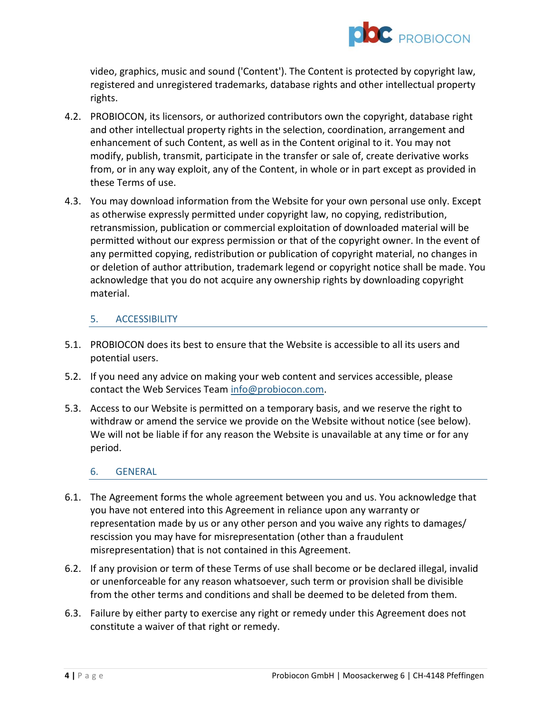

video, graphics, music and sound ('Content'). The Content is protected by copyright law, registered and unregistered trademarks, database rights and other intellectual property rights.

- 4.2. PROBIOCON, its licensors, or authorized contributors own the copyright, database right and other intellectual property rights in the selection, coordination, arrangement and enhancement of such Content, as well as in the Content original to it. You may not modify, publish, transmit, participate in the transfer or sale of, create derivative works from, or in any way exploit, any of the Content, in whole or in part except as provided in these Terms of use.
- 4.3. You may download information from the Website for your own personal use only. Except as otherwise expressly permitted under copyright law, no copying, redistribution, retransmission, publication or commercial exploitation of downloaded material will be permitted without our express permission or that of the copyright owner. In the event of any permitted copying, redistribution or publication of copyright material, no changes in or deletion of author attribution, trademark legend or copyright notice shall be made. You acknowledge that you do not acquire any ownership rights by downloading copyright material.

# 5. ACCESSIBILITY

- <span id="page-3-0"></span>5.1. PROBIOCON does its best to ensure that the Website is accessible to all its users and potential users.
- 5.2. If you need any advice on making your web content and services accessible, please contact the Web Services Team [info@probiocon.com.](mailto:info@probiocon.com)
- 5.3. Access to our Website is permitted on a temporary basis, and we reserve the right to withdraw or amend the service we provide on the Website without notice (see below). We will not be liable if for any reason the Website is unavailable at any time or for any period.

# <span id="page-3-1"></span>6. GENERAL

- 6.1. The Agreement forms the whole agreement between you and us. You acknowledge that you have not entered into this Agreement in reliance upon any warranty or representation made by us or any other person and you waive any rights to damages/ rescission you may have for misrepresentation (other than a fraudulent misrepresentation) that is not contained in this Agreement.
- 6.2. If any provision or term of these Terms of use shall become or be declared illegal, invalid or unenforceable for any reason whatsoever, such term or provision shall be divisible from the other terms and conditions and shall be deemed to be deleted from them.
- 6.3. Failure by either party to exercise any right or remedy under this Agreement does not constitute a waiver of that right or remedy.